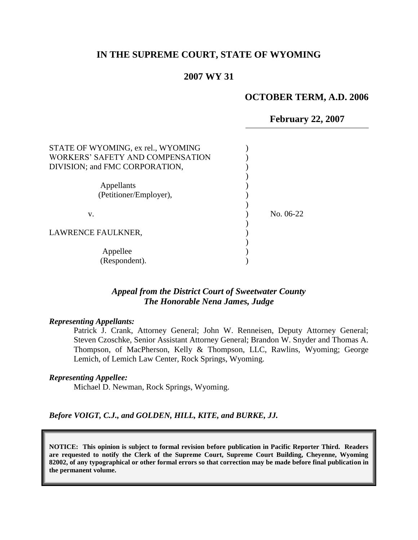### **IN THE SUPREME COURT, STATE OF WYOMING**

#### **2007 WY 31**

#### **OCTOBER TERM, A.D. 2006**

**February 22, 2007**

| No. 06-22 |
|-----------|
|           |
|           |
|           |
|           |
|           |
|           |

### *Appeal from the District Court of Sweetwater County The Honorable Nena James, Judge*

#### *Representing Appellants:*

Patrick J. Crank, Attorney General; John W. Renneisen, Deputy Attorney General; Steven Czoschke, Senior Assistant Attorney General; Brandon W. Snyder and Thomas A. Thompson, of MacPherson, Kelly & Thompson, LLC, Rawlins, Wyoming; George Lemich, of Lemich Law Center, Rock Springs, Wyoming.

#### *Representing Appellee:*

Michael D. Newman, Rock Springs, Wyoming.

*Before VOIGT, C.J., and GOLDEN, HILL, KITE, and BURKE, JJ.*

**NOTICE: This opinion is subject to formal revision before publication in Pacific Reporter Third. Readers are requested to notify the Clerk of the Supreme Court, Supreme Court Building, Cheyenne, Wyoming 82002, of any typographical or other formal errors so that correction may be made before final publication in the permanent volume.**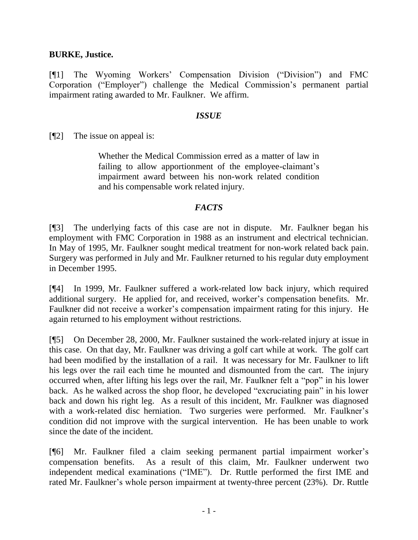## **BURKE, Justice.**

[¶1] The Wyoming Workers' Compensation Division ("Division") and FMC Corporation ("Employer") challenge the Medical Commission's permanent partial impairment rating awarded to Mr. Faulkner. We affirm.

### *ISSUE*

[¶2] The issue on appeal is:

Whether the Medical Commission erred as a matter of law in failing to allow apportionment of the employee-claimant's impairment award between his non-work related condition and his compensable work related injury.

## *FACTS*

[¶3] The underlying facts of this case are not in dispute. Mr. Faulkner began his employment with FMC Corporation in 1988 as an instrument and electrical technician. In May of 1995, Mr. Faulkner sought medical treatment for non-work related back pain. Surgery was performed in July and Mr. Faulkner returned to his regular duty employment in December 1995.

[¶4] In 1999, Mr. Faulkner suffered a work-related low back injury, which required additional surgery. He applied for, and received, worker's compensation benefits. Mr. Faulkner did not receive a worker's compensation impairment rating for this injury. He again returned to his employment without restrictions.

[¶5] On December 28, 2000, Mr. Faulkner sustained the work-related injury at issue in this case. On that day, Mr. Faulkner was driving a golf cart while at work. The golf cart had been modified by the installation of a rail. It was necessary for Mr. Faulkner to lift his legs over the rail each time he mounted and dismounted from the cart. The injury occurred when, after lifting his legs over the rail, Mr. Faulkner felt a "pop" in his lower back. As he walked across the shop floor, he developed "excruciating pain" in his lower back and down his right leg. As a result of this incident, Mr. Faulkner was diagnosed with a work-related disc herniation. Two surgeries were performed. Mr. Faulkner's condition did not improve with the surgical intervention. He has been unable to work since the date of the incident.

[¶6] Mr. Faulkner filed a claim seeking permanent partial impairment worker's compensation benefits. As a result of this claim, Mr. Faulkner underwent two independent medical examinations ("IME"). Dr. Ruttle performed the first IME and rated Mr. Faulkner's whole person impairment at twenty-three percent (23%). Dr. Ruttle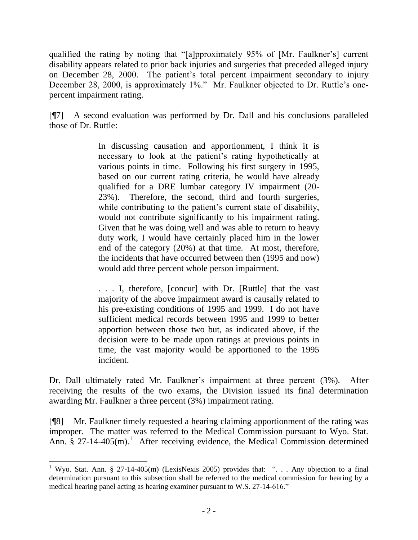qualified the rating by noting that "[a]pproximately 95% of [Mr. Faulkner's] current disability appears related to prior back injuries and surgeries that preceded alleged injury on December 28, 2000. The patient's total percent impairment secondary to injury December 28, 2000, is approximately 1%." Mr. Faulkner objected to Dr. Ruttle's onepercent impairment rating.

[¶7] A second evaluation was performed by Dr. Dall and his conclusions paralleled those of Dr. Ruttle:

> In discussing causation and apportionment, I think it is necessary to look at the patient's rating hypothetically at various points in time. Following his first surgery in 1995, based on our current rating criteria, he would have already qualified for a DRE lumbar category IV impairment (20- 23%). Therefore, the second, third and fourth surgeries, while contributing to the patient's current state of disability, would not contribute significantly to his impairment rating. Given that he was doing well and was able to return to heavy duty work, I would have certainly placed him in the lower end of the category (20%) at that time. At most, therefore, the incidents that have occurred between then (1995 and now) would add three percent whole person impairment.

> . . . I, therefore, [concur] with Dr. [Ruttle] that the vast majority of the above impairment award is causally related to his pre-existing conditions of 1995 and 1999. I do not have sufficient medical records between 1995 and 1999 to better apportion between those two but, as indicated above, if the decision were to be made upon ratings at previous points in time, the vast majority would be apportioned to the 1995 incident.

Dr. Dall ultimately rated Mr. Faulkner's impairment at three percent (3%). After receiving the results of the two exams, the Division issued its final determination awarding Mr. Faulkner a three percent (3%) impairment rating.

[¶8] Mr. Faulkner timely requested a hearing claiming apportionment of the rating was improper. The matter was referred to the Medical Commission pursuant to Wyo. Stat. Ann. § 27-14-405(m).<sup>1</sup> After receiving evidence, the Medical Commission determined

 $\overline{a}$ 

<sup>&</sup>lt;sup>1</sup> Wyo. Stat. Ann. § 27-14-405(m) (LexisNexis 2005) provides that: ". . . Any objection to a final determination pursuant to this subsection shall be referred to the medical commission for hearing by a medical hearing panel acting as hearing examiner pursuant to W.S. 27-14-616."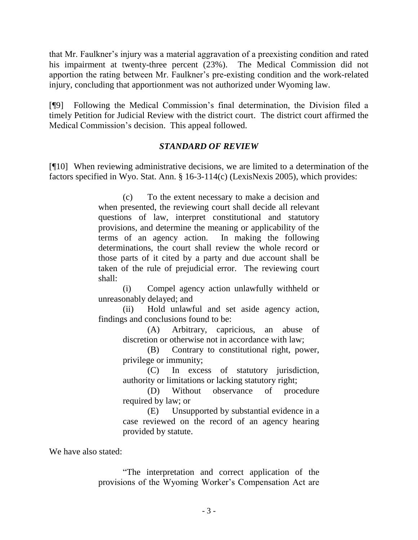that Mr. Faulkner's injury was a material aggravation of a preexisting condition and rated his impairment at twenty-three percent (23%). The Medical Commission did not apportion the rating between Mr. Faulkner's pre-existing condition and the work-related injury, concluding that apportionment was not authorized under Wyoming law.

[¶9] Following the Medical Commission's final determination, the Division filed a timely Petition for Judicial Review with the district court. The district court affirmed the Medical Commission's decision. This appeal followed.

# *STANDARD OF REVIEW*

[¶10] When reviewing administrative decisions, we are limited to a determination of the factors specified in Wyo. Stat. Ann. § 16-3-114(c) (LexisNexis 2005), which provides:

> (c) To the extent necessary to make a decision and when presented, the reviewing court shall decide all relevant questions of law, interpret constitutional and statutory provisions, and determine the meaning or applicability of the terms of an agency action. In making the following determinations, the court shall review the whole record or those parts of it cited by a party and due account shall be taken of the rule of prejudicial error. The reviewing court shall:

> (i) Compel agency action unlawfully withheld or unreasonably delayed; and

> (ii) Hold unlawful and set aside agency action, findings and conclusions found to be:

(A) Arbitrary, capricious, an abuse of discretion or otherwise not in accordance with law;

(B) Contrary to constitutional right, power, privilege or immunity;

(C) In excess of statutory jurisdiction, authority or limitations or lacking statutory right;

(D) Without observance of procedure required by law; or

(E) Unsupported by substantial evidence in a case reviewed on the record of an agency hearing provided by statute.

We have also stated:

"The interpretation and correct application of the provisions of the Wyoming Worker's Compensation Act are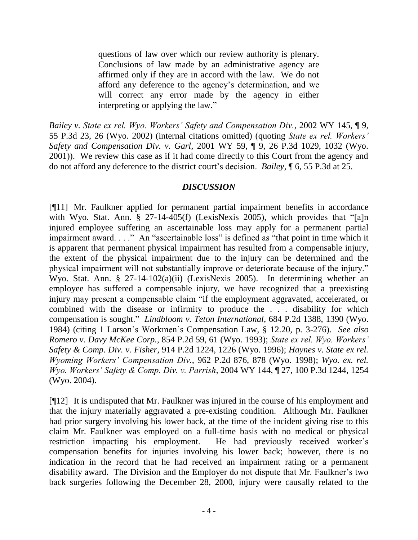questions of law over which our review authority is plenary. Conclusions of law made by an administrative agency are affirmed only if they are in accord with the law. We do not afford any deference to the agency's determination, and we will correct any error made by the agency in either interpreting or applying the law."

*Bailey v. State ex rel. Wyo. Workers' Safety and Compensation Div.,* 2002 WY 145, ¶ 9, 55 P.3d 23, 26 (Wyo. 2002) (internal citations omitted) (quoting *State ex rel. Workers' Safety and Compensation Div. v. Garl,* 2001 WY 59, ¶ 9, 26 P.3d 1029, 1032 (Wyo. 2001)). We review this case as if it had come directly to this Court from the agency and do not afford any deference to the district court's decision. *Bailey*, ¶ 6, 55 P.3d at 25.

# *DISCUSSION*

[¶11] Mr. Faulkner applied for permanent partial impairment benefits in accordance with Wyo. Stat. Ann. § 27-14-405(f) (LexisNexis 2005), which provides that "[a]n injured employee suffering an ascertainable loss may apply for a permanent partial impairment award. . . ." An "ascertainable loss" is defined as "that point in time which it is apparent that permanent physical impairment has resulted from a compensable injury, the extent of the physical impairment due to the injury can be determined and the physical impairment will not substantially improve or deteriorate because of the injury." Wyo. Stat. Ann. § 27-14-102(a)(ii) (LexisNexis 2005). In determining whether an employee has suffered a compensable injury, we have recognized that a preexisting injury may present a compensable claim "if the employment aggravated, accelerated, or combined with the disease or infirmity to produce the . . . disability for which compensation is sought." *Lindbloom v. Teton International*, 684 P.2d 1388, 1390 (Wyo. 1984) (citing 1 Larson's Workmen's Compensation Law, § 12.20, p. 3-276). *See also Romero v. Davy McKee Corp.*, 854 P.2d 59, 61 (Wyo. 1993); *State ex rel. Wyo. Workers' Safety & Comp. Div. v. Fisher,* 914 P.2d 1224, 1226 (Wyo. 1996); *Haynes v. State ex rel. Wyoming Workers' Compensation Div.*, 962 P.2d 876, 878 (Wyo. 1998); *Wyo. ex. rel. Wyo. Workers' Safety & Comp. Div. v. Parrish*, 2004 WY 144, ¶ 27, 100 P.3d 1244, 1254 (Wyo. 2004).

[¶12] It is undisputed that Mr. Faulkner was injured in the course of his employment and that the injury materially aggravated a pre-existing condition. Although Mr. Faulkner had prior surgery involving his lower back, at the time of the incident giving rise to this claim Mr. Faulkner was employed on a full-time basis with no medical or physical restriction impacting his employment. He had previously received worker's compensation benefits for injuries involving his lower back; however, there is no indication in the record that he had received an impairment rating or a permanent disability award. The Division and the Employer do not dispute that Mr. Faulkner's two back surgeries following the December 28, 2000, injury were causally related to the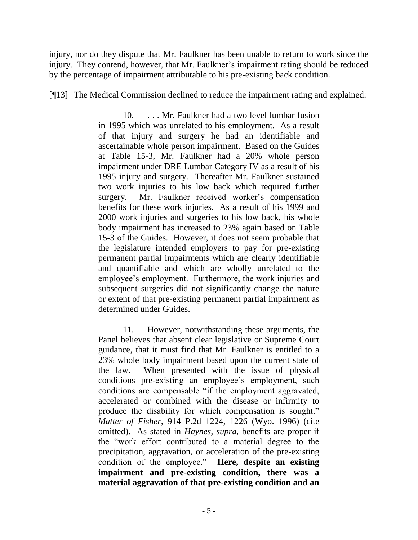injury, nor do they dispute that Mr. Faulkner has been unable to return to work since the injury. They contend, however, that Mr. Faulkner's impairment rating should be reduced by the percentage of impairment attributable to his pre-existing back condition.

[¶13] The Medical Commission declined to reduce the impairment rating and explained:

10. . . . Mr. Faulkner had a two level lumbar fusion in 1995 which was unrelated to his employment. As a result of that injury and surgery he had an identifiable and ascertainable whole person impairment. Based on the Guides at Table 15-3, Mr. Faulkner had a 20% whole person impairment under DRE Lumbar Category IV as a result of his 1995 injury and surgery. Thereafter Mr. Faulkner sustained two work injuries to his low back which required further surgery. Mr. Faulkner received worker's compensation benefits for these work injuries. As a result of his 1999 and 2000 work injuries and surgeries to his low back, his whole body impairment has increased to 23% again based on Table 15-3 of the Guides. However, it does not seem probable that the legislature intended employers to pay for pre-existing permanent partial impairments which are clearly identifiable and quantifiable and which are wholly unrelated to the employee's employment. Furthermore, the work injuries and subsequent surgeries did not significantly change the nature or extent of that pre-existing permanent partial impairment as determined under Guides.

11. However, notwithstanding these arguments, the Panel believes that absent clear legislative or Supreme Court guidance, that it must find that Mr. Faulkner is entitled to a 23% whole body impairment based upon the current state of the law. When presented with the issue of physical conditions pre-existing an employee's employment, such conditions are compensable "if the employment aggravated, accelerated or combined with the disease or infirmity to produce the disability for which compensation is sought." *Matter of Fisher,* 914 P.2d 1224, 1226 (Wyo. 1996) (cite omitted). As stated in *Haynes, supra*, benefits are proper if the "work effort contributed to a material degree to the precipitation, aggravation, or acceleration of the pre-existing condition of the employee." **Here, despite an existing impairment and pre-existing condition, there was a material aggravation of that pre-existing condition and an**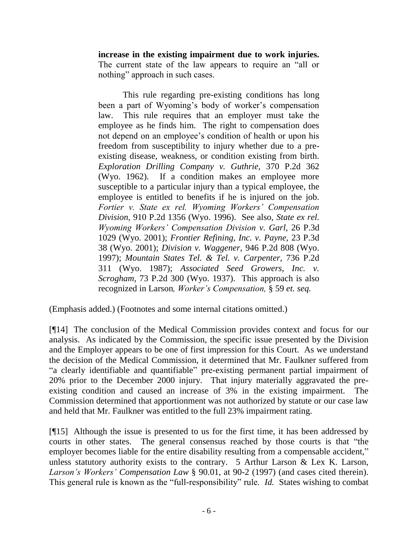**increase in the existing impairment due to work injuries.** The current state of the law appears to require an "all or nothing" approach in such cases.

This rule regarding pre-existing conditions has long been a part of Wyoming's body of worker's compensation law. This rule requires that an employer must take the employee as he finds him. The right to compensation does not depend on an employee's condition of health or upon his freedom from susceptibility to injury whether due to a preexisting disease, weakness, or condition existing from birth. *Exploration Drilling Company v. Guthrie,* 370 P.2d 362 (Wyo. 1962). If a condition makes an employee more susceptible to a particular injury than a typical employee, the employee is entitled to benefits if he is injured on the job. *Fortier v. State ex rel. Wyoming Workers' Compensation Division,* 910 P.2d 1356 (Wyo. 1996). See also, *State ex rel. Wyoming Workers' Compensation Division v. Garl,* 26 P.3d 1029 (Wyo. 2001); *Frontier Refining, Inc. v. Payne,* 23 P.3d 38 (Wyo. 2001); *Division v. Waggener,* 946 P.2d 808 (Wyo. 1997); *Mountain States Tel. & Tel. v. Carpenter,* 736 P.2d 311 (Wyo. 1987); *Associated Seed Growers, Inc. v. Scrogham,* 73 P.2d 300 (Wyo. 1937). This approach is also recognized in Larson*, Worker's Compensation,* § 59 *et. seq.*

(Emphasis added.) (Footnotes and some internal citations omitted.)

[¶14] The conclusion of the Medical Commission provides context and focus for our analysis. As indicated by the Commission, the specific issue presented by the Division and the Employer appears to be one of first impression for this Court. As we understand the decision of the Medical Commission, it determined that Mr. Faulkner suffered from "a clearly identifiable and quantifiable" pre-existing permanent partial impairment of 20% prior to the December 2000 injury. That injury materially aggravated the preexisting condition and caused an increase of 3% in the existing impairment. The Commission determined that apportionment was not authorized by statute or our case law and held that Mr. Faulkner was entitled to the full 23% impairment rating.

[¶15] Although the issue is presented to us for the first time, it has been addressed by courts in other states. The general consensus reached by those courts is that "the employer becomes liable for the entire disability resulting from a compensable accident," unless statutory authority exists to the contrary.  $5$  Arthur Larson & Lex K. Larson, *Larson's Workers' Compensation Law* § 90.01, at 90-2 (1997) (and cases cited therein). This general rule is known as the "full-responsibility" rule. *Id.* States wishing to combat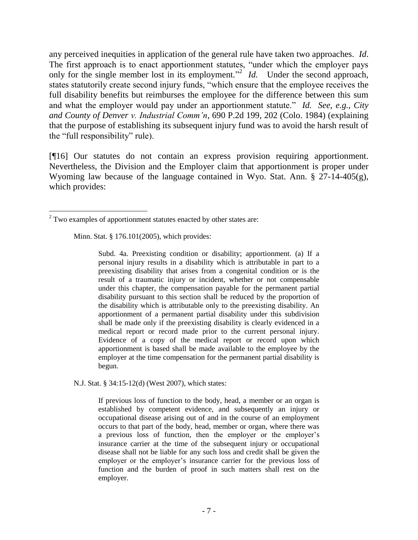any perceived inequities in application of the general rule have taken two approaches. *Id*. The first approach is to enact apportionment statutes, "under which the employer pays only for the single member lost in its employment.<sup>"2</sup> *Id.* Under the second approach, states statutorily create second injury funds, "which ensure that the employee receives the full disability benefits but reimburses the employee for the difference between this sum and what the employer would pay under an apportionment statute." *Id. See, e.g., City and County of Denver v. Industrial Comm'n*, 690 P.2d 199, 202 (Colo. 1984) (explaining that the purpose of establishing its subsequent injury fund was to avoid the harsh result of the "full responsibility" rule).

[¶16] Our statutes do not contain an express provision requiring apportionment. Nevertheless, the Division and the Employer claim that apportionment is proper under Wyoming law because of the language contained in Wyo. Stat. Ann. § 27-14-405(g), which provides:

[Minn. Stat. § 176.101\(](http://www.lexis.com/research/xlink?app=00075&view=full&searchtype=get&search=Minn.+Stat.+%A7+176.101)2005), which provides:

 $\overline{a}$ 

Subd. 4a. Preexisting condition or disability; apportionment. (a) If a personal injury results in a disability which is attributable in part to a preexisting disability that arises from a congenital condition or is the result of a traumatic injury or incident, whether or not compensable under this chapter, the compensation payable for the permanent partial disability pursuant to this section shall be reduced by the proportion of the disability which is attributable only to the preexisting disability. An apportionment of a permanent partial disability under this subdivision shall be made only if the preexisting disability is clearly evidenced in a medical report or record made prior to the current personal injury. Evidence of a copy of the medical report or record upon which apportionment is based shall be made available to the employee by the employer at the time compensation for the permanent partial disability is begun.

[N.J. Stat. § 34:15-12\(](http://www.lexis.com/research/xlink?app=00075&view=full&searchtype=get&search=N.J.+Stat.+%A7+34%3A15-12)d) (West 2007), which states:

If previous loss of function to the body, head, a member or an organ is established by competent evidence, and subsequently an injury or occupational disease arising out of and in the course of an employment occurs to that part of the body, head, member or organ, where there was a previous loss of function, then the employer or the employer's insurance carrier at the time of the subsequent injury or occupational disease shall not be liable for any such loss and credit shall be given the employer or the employer's insurance carrier for the previous loss of function and the burden of proof in such matters shall rest on the employer.

 $2$  Two examples of apportionment statutes enacted by other states are: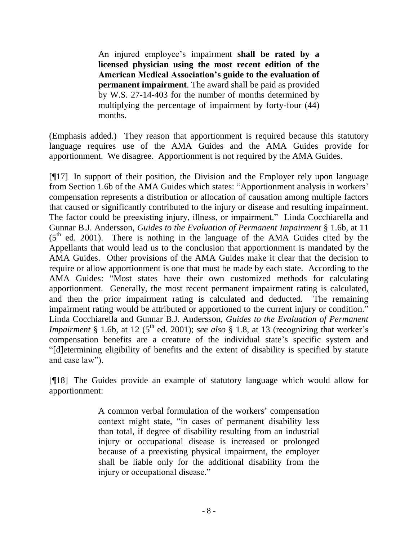An injured employee's impairment **shall be rated by a licensed physician using the most recent edition of the American Medical Association's guide to the evaluation of permanent impairment**. The award shall be paid as provided by W.S. 27-14-403 for the number of months determined by multiplying the percentage of impairment by forty-four (44) months.

(Emphasis added.) They reason that apportionment is required because this statutory language requires use of the AMA Guides and the AMA Guides provide for apportionment. We disagree. Apportionment is not required by the AMA Guides.

[¶17] In support of their position, the Division and the Employer rely upon language from Section 1.6b of the AMA Guides which states: "Apportionment analysis in workers' compensation represents a distribution or allocation of causation among multiple factors that caused or significantly contributed to the injury or disease and resulting impairment. The factor could be preexisting injury, illness, or impairment." Linda Cocchiarella and Gunnar B.J. Andersson, *Guides to the Evaluation of Permanent Impairment* § 1.6b, at 11  $(5<sup>th</sup>$  ed. 2001). There is nothing in the language of the AMA Guides cited by the Appellants that would lead us to the conclusion that apportionment is mandated by the AMA Guides. Other provisions of the AMA Guides make it clear that the decision to require or allow apportionment is one that must be made by each state. According to the AMA Guides: "Most states have their own customized methods for calculating apportionment. Generally, the most recent permanent impairment rating is calculated, and then the prior impairment rating is calculated and deducted. The remaining impairment rating would be attributed or apportioned to the current injury or condition." Linda Cocchiarella and Gunnar B.J. Andersson, *Guides to the Evaluation of Permanent Impairment* § 1.6b, at 12 ( $5<sup>th</sup>$  ed. 2001); *see also* § 1.8, at 13 (recognizing that worker's compensation benefits are a creature of the individual state's specific system and "[d]etermining eligibility of benefits and the extent of disability is specified by statute and case law").

[¶18] The Guides provide an example of statutory language which would allow for apportionment:

> A common verbal formulation of the workers' compensation context might state, "in cases of permanent disability less than total, if degree of disability resulting from an industrial injury or occupational disease is increased or prolonged because of a preexisting physical impairment, the employer shall be liable only for the additional disability from the injury or occupational disease."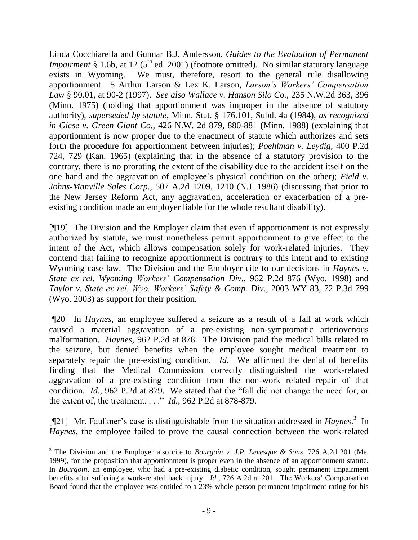Linda Cocchiarella and Gunnar B.J. Andersson, *Guides to the Evaluation of Permanent Impairment* § 1.6b, at 12 ( $5<sup>th</sup>$  ed. 2001) (footnote omitted). No similar statutory language exists in Wyoming. We must, therefore, resort to the general rule disallowing apportionment. 5 Arthur Larson & Lex K. Larson, *Larson's Workers' Compensation Law* § 90.01, at 90-2 (1997). *See also Wallace v. Hanson Silo Co.,* 235 N.W.2d 363, 396 (Minn. 1975) (holding that apportionment was improper in the absence of statutory authority), *superseded by statute,* Minn. Stat. § 176.101, Subd. 4a (1984), *as recognized in Giese v. Green Giant Co.,* 426 N.W. 2d 879, 880-881 (Minn. 1988) (explaining that apportionment is now proper due to the enactment of statute which authorizes and sets forth the procedure for apportionment between injuries); *Poehlman v. Leydig,* 400 P.2d 724, 729 (Kan. 1965) (explaining that in the absence of a statutory provision to the contrary, there is no prorating the extent of the disability due to the accident itself on the one hand and the aggravation of employee's physical condition on the other); *Field v. Johns-Manville Sales Corp.,* 507 A.2d 1209, 1210 (N.J. 1986) (discussing that prior to the New Jersey Reform Act, any aggravation, acceleration or exacerbation of a preexisting condition made an employer liable for the whole resultant disability).

[¶19] The Division and the Employer claim that even if apportionment is not expressly authorized by statute, we must nonetheless permit apportionment to give effect to the intent of the Act, which allows compensation solely for work-related injuries. They contend that failing to recognize apportionment is contrary to this intent and to existing Wyoming case law. The Division and the Employer cite to our decisions in *Haynes v. State ex rel. Wyoming Workers' Compensation Div.,* 962 P.2d 876 (Wyo. 1998) and *Taylor v. State ex rel. Wyo. Workers' Safety & Comp. Div.,* 2003 WY 83, 72 P.3d 799 (Wyo. 2003) as support for their position.

[¶20] In *Haynes*, an employee suffered a seizure as a result of a fall at work which caused a material aggravation of a pre-existing non-symptomatic arteriovenous malformation. *Haynes,* 962 P.2d at 878. The Division paid the medical bills related to the seizure, but denied benefits when the employee sought medical treatment to separately repair the pre-existing condition. *Id*. We affirmed the denial of benefits finding that the Medical Commission correctly distinguished the work-related aggravation of a pre-existing condition from the non-work related repair of that condition. *Id*., 962 P.2d at 879. We stated that the "fall did not change the need for, or the extent of, the treatment. . . ." *Id.*, 962 P.2d at 878-879.

[¶21] Mr. Faulkner's case is distinguishable from the situation addressed in *Haynes*.<sup>3</sup> In *Haynes*, the employee failed to prove the causal connection between the work-related

 $\overline{a}$ 

<sup>3</sup> The Division and the Employer also cite to *Bourgoin v. J.P. Levesque & Sons*, 726 A.2d 201 (Me. 1999), for the proposition that apportionment is proper even in the absence of an apportionment statute. In *Bourgoin,* an employee, who had a pre-existing diabetic condition, sought permanent impairment benefits after suffering a work-related back injury. *Id.*, 726 A.2d at 201. The Workers' Compensation Board found that the employee was entitled to a 23% whole person permanent impairment rating for his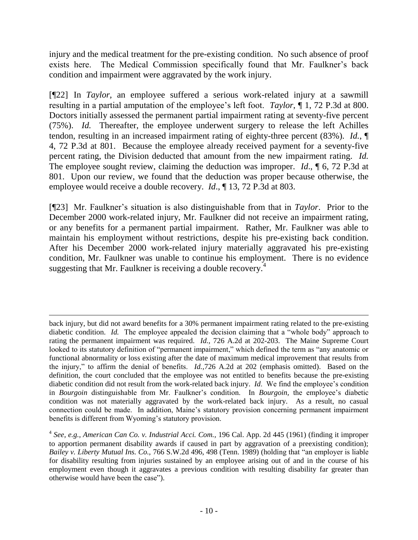injury and the medical treatment for the pre-existing condition. No such absence of proof exists here. The Medical Commission specifically found that Mr. Faulkner's back condition and impairment were aggravated by the work injury.

[¶22] In *Taylor,* an employee suffered a serious work-related injury at a sawmill resulting in a partial amputation of the employee's left foot. *Taylor*, ¶ 1, 72 P.3d at 800. Doctors initially assessed the permanent partial impairment rating at seventy-five percent (75%). *Id.* Thereafter, the employee underwent surgery to release the left Achilles tendon, resulting in an increased impairment rating of eighty-three percent (83%). *Id.*, ¶ 4, 72 P.3d at 801. Because the employee already received payment for a seventy-five percent rating, the Division deducted that amount from the new impairment rating. *Id.* The employee sought review, claiming the deduction was improper. *Id*., ¶ 6, 72 P.3d at 801. Upon our review, we found that the deduction was proper because otherwise, the employee would receive a double recovery. *Id*., ¶ 13, 72 P.3d at 803.

[¶23] Mr. Faulkner's situation is also distinguishable from that in *Taylor*. Prior to the December 2000 work-related injury, Mr. Faulkner did not receive an impairment rating, or any benefits for a permanent partial impairment. Rather, Mr. Faulkner was able to maintain his employment without restrictions, despite his pre-existing back condition. After his December 2000 work-related injury materially aggravated his pre-existing condition, Mr. Faulkner was unable to continue his employment. There is no evidence suggesting that Mr. Faulkner is receiving a double recovery.<sup>4</sup>

 $\overline{a}$ 

back injury, but did not award benefits for a 30% permanent impairment rating related to the pre-existing diabetic condition. *Id.* The employee appealed the decision claiming that a "whole body" approach to rating the permanent impairment was required. *Id.,* 726 A.2d at 202-203. The Maine Supreme Court looked to its statutory definition of "permanent impairment," which defined the term as "any anatomic or functional abnormality or loss existing after the date of maximum medical improvement that results from the injury," to affirm the denial of benefits. *Id.,*726 A.2d at 202 (emphasis omitted). Based on the definition, the court concluded that the employee was not entitled to benefits because the pre-existing diabetic condition did not result from the work-related back injury. *Id*. We find the employee's condition in *Bourgoin* distinguishable from Mr. Faulkner's condition. In *Bourgoin,* the employee's diabetic condition was not materially aggravated by the work-related back injury. As a result, no casual connection could be made. In addition, Maine's statutory provision concerning permanent impairment benefits is different from Wyoming's statutory provision.

<sup>4</sup> *See, e.g., American Can Co. v. Industrial Acci. Com.,* 196 Cal. App. 2d 445 (1961) (finding it improper to apportion permanent disability awards if caused in part by aggravation of a preexisting condition); *Bailey v. Liberty Mutual Ins. Co.,* 766 S.W.2d 496, 498 (Tenn. 1989) (holding that "an employer is liable for disability resulting from injuries sustained by an employee arising out of and in the course of his employment even though it aggravates a previous condition with resulting disability far greater than otherwise would have been the case").